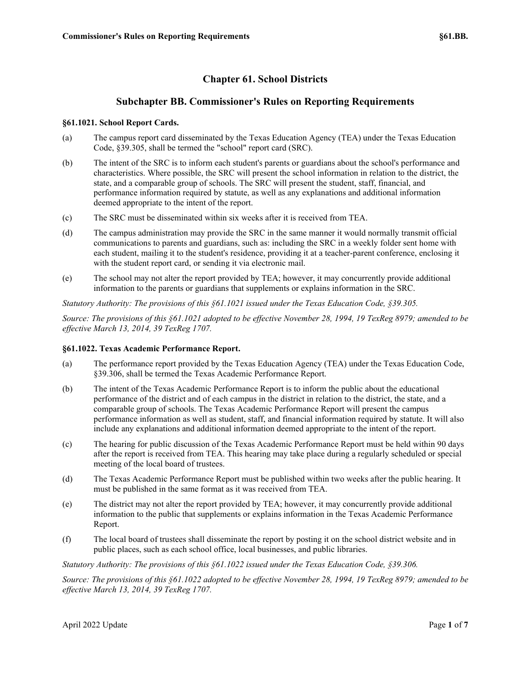# **Chapter 61. School Districts**

## **Subchapter BB. Commissioner's Rules on Reporting Requirements**

## **§61.1021. School Report Cards.**

- (a) The campus report card disseminated by the Texas Education Agency (TEA) under the Texas Education Code, §39.305, shall be termed the "school" report card (SRC).
- (b) The intent of the SRC is to inform each student's parents or guardians about the school's performance and characteristics. Where possible, the SRC will present the school information in relation to the district, the state, and a comparable group of schools. The SRC will present the student, staff, financial, and performance information required by statute, as well as any explanations and additional information deemed appropriate to the intent of the report.
- (c) The SRC must be disseminated within six weeks after it is received from TEA.
- (d) The campus administration may provide the SRC in the same manner it would normally transmit official communications to parents and guardians, such as: including the SRC in a weekly folder sent home with each student, mailing it to the student's residence, providing it at a teacher-parent conference, enclosing it with the student report card, or sending it via electronic mail.
- (e) The school may not alter the report provided by TEA; however, it may concurrently provide additional information to the parents or guardians that supplements or explains information in the SRC.

*Statutory Authority: The provisions of this §61.1021 issued under the Texas Education Code, §39.305.*

*Source: The provisions of this §61.1021 adopted to be effective November 28, 1994, 19 TexReg 8979; amended to be effective March 13, 2014, 39 TexReg 1707.*

## **§61.1022. Texas Academic Performance Report.**

- (a) The performance report provided by the Texas Education Agency (TEA) under the Texas Education Code, §39.306, shall be termed the Texas Academic Performance Report.
- (b) The intent of the Texas Academic Performance Report is to inform the public about the educational performance of the district and of each campus in the district in relation to the district, the state, and a comparable group of schools. The Texas Academic Performance Report will present the campus performance information as well as student, staff, and financial information required by statute. It will also include any explanations and additional information deemed appropriate to the intent of the report.
- (c) The hearing for public discussion of the Texas Academic Performance Report must be held within 90 days after the report is received from TEA. This hearing may take place during a regularly scheduled or special meeting of the local board of trustees.
- (d) The Texas Academic Performance Report must be published within two weeks after the public hearing. It must be published in the same format as it was received from TEA.
- (e) The district may not alter the report provided by TEA; however, it may concurrently provide additional information to the public that supplements or explains information in the Texas Academic Performance Report.
- (f) The local board of trustees shall disseminate the report by posting it on the school district website and in public places, such as each school office, local businesses, and public libraries.

*Statutory Authority: The provisions of this §61.1022 issued under the Texas Education Code, §39.306.*

*Source: The provisions of this §61.1022 adopted to be effective November 28, 1994, 19 TexReg 8979; amended to be effective March 13, 2014, 39 TexReg 1707.*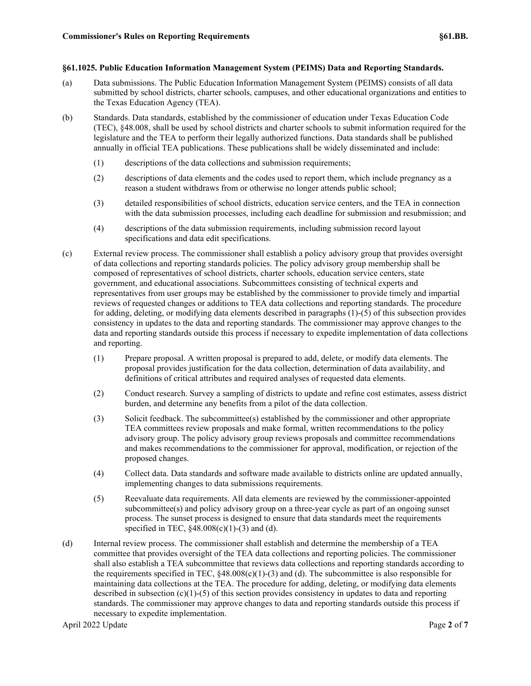#### **§61.1025. Public Education Information Management System (PEIMS) Data and Reporting Standards.**

- (a) Data submissions. The Public Education Information Management System (PEIMS) consists of all data submitted by school districts, charter schools, campuses, and other educational organizations and entities to the Texas Education Agency (TEA).
- (b) Standards. Data standards, established by the commissioner of education under Texas Education Code (TEC), §48.008, shall be used by school districts and charter schools to submit information required for the legislature and the TEA to perform their legally authorized functions. Data standards shall be published annually in official TEA publications. These publications shall be widely disseminated and include:
	- (1) descriptions of the data collections and submission requirements;
	- (2) descriptions of data elements and the codes used to report them, which include pregnancy as a reason a student withdraws from or otherwise no longer attends public school;
	- (3) detailed responsibilities of school districts, education service centers, and the TEA in connection with the data submission processes, including each deadline for submission and resubmission; and
	- (4) descriptions of the data submission requirements, including submission record layout specifications and data edit specifications.
- (c) External review process. The commissioner shall establish a policy advisory group that provides oversight of data collections and reporting standards policies. The policy advisory group membership shall be composed of representatives of school districts, charter schools, education service centers, state government, and educational associations. Subcommittees consisting of technical experts and representatives from user groups may be established by the commissioner to provide timely and impartial reviews of requested changes or additions to TEA data collections and reporting standards. The procedure for adding, deleting, or modifying data elements described in paragraphs (1)-(5) of this subsection provides consistency in updates to the data and reporting standards. The commissioner may approve changes to the data and reporting standards outside this process if necessary to expedite implementation of data collections and reporting.
	- (1) Prepare proposal. A written proposal is prepared to add, delete, or modify data elements. The proposal provides justification for the data collection, determination of data availability, and definitions of critical attributes and required analyses of requested data elements.
	- (2) Conduct research. Survey a sampling of districts to update and refine cost estimates, assess district burden, and determine any benefits from a pilot of the data collection.
	- (3) Solicit feedback. The subcommittee(s) established by the commissioner and other appropriate TEA committees review proposals and make formal, written recommendations to the policy advisory group. The policy advisory group reviews proposals and committee recommendations and makes recommendations to the commissioner for approval, modification, or rejection of the proposed changes.
	- (4) Collect data. Data standards and software made available to districts online are updated annually, implementing changes to data submissions requirements.
	- (5) Reevaluate data requirements. All data elements are reviewed by the commissioner-appointed subcommittee(s) and policy advisory group on a three-year cycle as part of an ongoing sunset process. The sunset process is designed to ensure that data standards meet the requirements specified in TEC, §48.008(c)(1)-(3) and (d).
- (d) Internal review process. The commissioner shall establish and determine the membership of a TEA committee that provides oversight of the TEA data collections and reporting policies. The commissioner shall also establish a TEA subcommittee that reviews data collections and reporting standards according to the requirements specified in TEC,  $§48.008(c)(1)-(3)$  and (d). The subcommittee is also responsible for maintaining data collections at the TEA. The procedure for adding, deleting, or modifying data elements described in subsection  $(c)(1)-(5)$  of this section provides consistency in updates to data and reporting standards. The commissioner may approve changes to data and reporting standards outside this process if necessary to expedite implementation.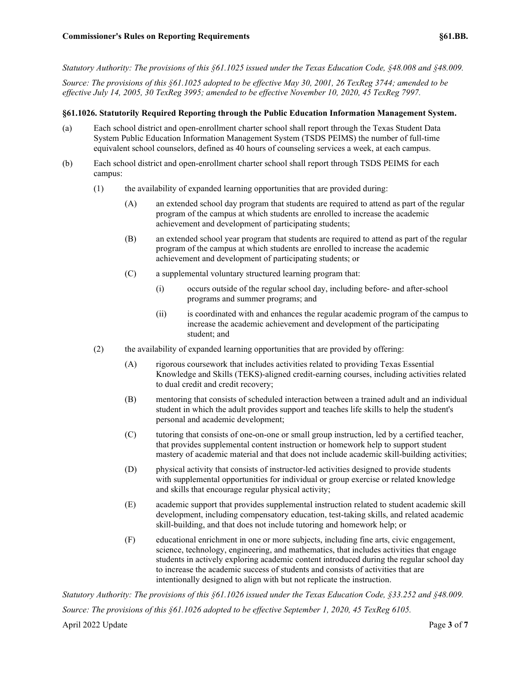*Statutory Authority: The provisions of this §61.1025 issued under the Texas Education Code, §48.008 and §48.009.*

*Source: The provisions of this §61.1025 adopted to be effective May 30, 2001, 26 TexReg 3744; amended to be effective July 14, 2005, 30 TexReg 3995; amended to be effective November 10, 2020, 45 TexReg 7997.*

#### **§61.1026. Statutorily Required Reporting through the Public Education Information Management System.**

- (a) Each school district and open-enrollment charter school shall report through the Texas Student Data System Public Education Information Management System (TSDS PEIMS) the number of full-time equivalent school counselors, defined as 40 hours of counseling services a week, at each campus.
- (b) Each school district and open-enrollment charter school shall report through TSDS PEIMS for each campus:
	- (1) the availability of expanded learning opportunities that are provided during:
		- (A) an extended school day program that students are required to attend as part of the regular program of the campus at which students are enrolled to increase the academic achievement and development of participating students;
		- (B) an extended school year program that students are required to attend as part of the regular program of the campus at which students are enrolled to increase the academic achievement and development of participating students; or
		- (C) a supplemental voluntary structured learning program that:
			- (i) occurs outside of the regular school day, including before- and after-school programs and summer programs; and
			- (ii) is coordinated with and enhances the regular academic program of the campus to increase the academic achievement and development of the participating student; and
	- (2) the availability of expanded learning opportunities that are provided by offering:
		- (A) rigorous coursework that includes activities related to providing Texas Essential Knowledge and Skills (TEKS)-aligned credit-earning courses, including activities related to dual credit and credit recovery;
		- (B) mentoring that consists of scheduled interaction between a trained adult and an individual student in which the adult provides support and teaches life skills to help the student's personal and academic development;
		- (C) tutoring that consists of one-on-one or small group instruction, led by a certified teacher, that provides supplemental content instruction or homework help to support student mastery of academic material and that does not include academic skill-building activities;
		- (D) physical activity that consists of instructor-led activities designed to provide students with supplemental opportunities for individual or group exercise or related knowledge and skills that encourage regular physical activity;
		- (E) academic support that provides supplemental instruction related to student academic skill development, including compensatory education, test-taking skills, and related academic skill-building, and that does not include tutoring and homework help; or
		- (F) educational enrichment in one or more subjects, including fine arts, civic engagement, science, technology, engineering, and mathematics, that includes activities that engage students in actively exploring academic content introduced during the regular school day to increase the academic success of students and consists of activities that are intentionally designed to align with but not replicate the instruction.

April 2022 Update Page 3 of 7 *Statutory Authority: The provisions of this §61.1026 issued under the Texas Education Code, §33.252 and §48.009. Source: The provisions of this §61.1026 adopted to be effective September 1, 2020, 45 TexReg 6105.*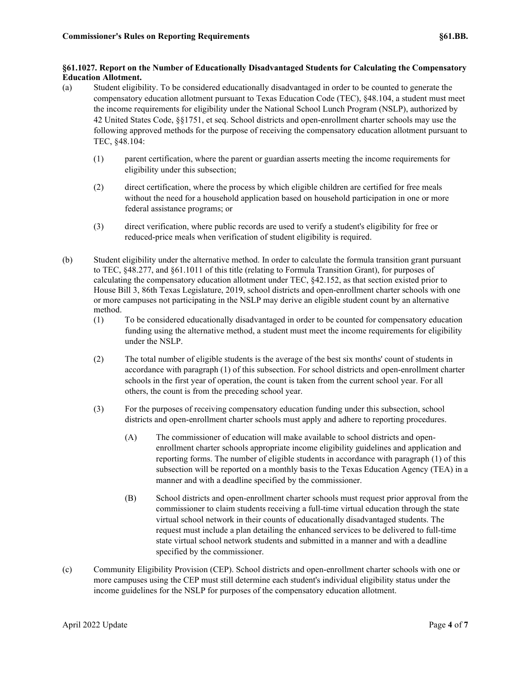## **§61.1027. Report on the Number of Educationally Disadvantaged Students for Calculating the Compensatory Education Allotment.**

- (a) Student eligibility. To be considered educationally disadvantaged in order to be counted to generate the compensatory education allotment pursuant to Texas Education Code (TEC), §48.104, a student must meet the income requirements for eligibility under the National School Lunch Program (NSLP), authorized by 42 United States Code, §§1751, et seq. School districts and open-enrollment charter schools may use the following approved methods for the purpose of receiving the compensatory education allotment pursuant to TEC, §48.104:
	- (1) parent certification, where the parent or guardian asserts meeting the income requirements for eligibility under this subsection;
	- (2) direct certification, where the process by which eligible children are certified for free meals without the need for a household application based on household participation in one or more federal assistance programs; or
	- (3) direct verification, where public records are used to verify a student's eligibility for free or reduced-price meals when verification of student eligibility is required.
- (b) Student eligibility under the alternative method. In order to calculate the formula transition grant pursuant to TEC, §48.277, and §61.1011 of this title (relating to Formula Transition Grant), for purposes of calculating the compensatory education allotment under TEC, §42.152, as that section existed prior to House Bill 3, 86th Texas Legislature, 2019, school districts and open-enrollment charter schools with one or more campuses not participating in the NSLP may derive an eligible student count by an alternative method.
	- (1) To be considered educationally disadvantaged in order to be counted for compensatory education funding using the alternative method, a student must meet the income requirements for eligibility under the NSLP.
	- (2) The total number of eligible students is the average of the best six months' count of students in accordance with paragraph (1) of this subsection. For school districts and open-enrollment charter schools in the first year of operation, the count is taken from the current school year. For all others, the count is from the preceding school year.
	- (3) For the purposes of receiving compensatory education funding under this subsection, school districts and open-enrollment charter schools must apply and adhere to reporting procedures.
		- (A) The commissioner of education will make available to school districts and openenrollment charter schools appropriate income eligibility guidelines and application and reporting forms. The number of eligible students in accordance with paragraph (1) of this subsection will be reported on a monthly basis to the Texas Education Agency (TEA) in a manner and with a deadline specified by the commissioner.
		- (B) School districts and open-enrollment charter schools must request prior approval from the commissioner to claim students receiving a full-time virtual education through the state virtual school network in their counts of educationally disadvantaged students. The request must include a plan detailing the enhanced services to be delivered to full-time state virtual school network students and submitted in a manner and with a deadline specified by the commissioner.
- (c) Community Eligibility Provision (CEP). School districts and open-enrollment charter schools with one or more campuses using the CEP must still determine each student's individual eligibility status under the income guidelines for the NSLP for purposes of the compensatory education allotment.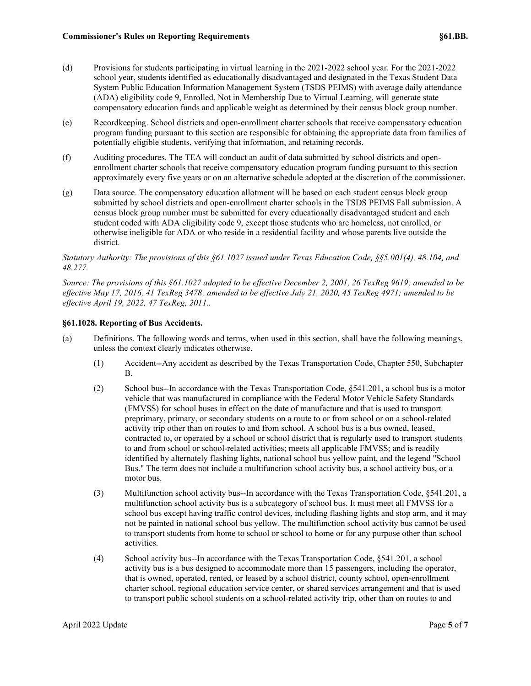- (d) Provisions for students participating in virtual learning in the 2021-2022 school year. For the 2021-2022 school year, students identified as educationally disadvantaged and designated in the Texas Student Data System Public Education Information Management System (TSDS PEIMS) with average daily attendance (ADA) eligibility code 9, Enrolled, Not in Membership Due to Virtual Learning, will generate state compensatory education funds and applicable weight as determined by their census block group number.
- (e) Recordkeeping. School districts and open-enrollment charter schools that receive compensatory education program funding pursuant to this section are responsible for obtaining the appropriate data from families of potentially eligible students, verifying that information, and retaining records.
- (f) Auditing procedures. The TEA will conduct an audit of data submitted by school districts and openenrollment charter schools that receive compensatory education program funding pursuant to this section approximately every five years or on an alternative schedule adopted at the discretion of the commissioner.
- (g) Data source. The compensatory education allotment will be based on each student census block group submitted by school districts and open-enrollment charter schools in the TSDS PEIMS Fall submission. A census block group number must be submitted for every educationally disadvantaged student and each student coded with ADA eligibility code 9, except those students who are homeless, not enrolled, or otherwise ineligible for ADA or who reside in a residential facility and whose parents live outside the district.

## *Statutory Authority: The provisions of this §61.1027 issued under Texas Education Code, §§5.001(4), 48.104, and 48.277.*

*Source: The provisions of this §61.1027 adopted to be effective December 2, 2001, 26 TexReg 9619; amended to be effective May 17, 2016, 41 TexReg 3478; amended to be effective July 21, 2020, 45 TexReg 4971; amended to be effective April 19, 2022, 47 TexReg, 2011..*

## **§61.1028. Reporting of Bus Accidents.**

- (a) Definitions. The following words and terms, when used in this section, shall have the following meanings, unless the context clearly indicates otherwise.
	- (1) Accident--Any accident as described by the Texas Transportation Code, Chapter 550, Subchapter B.
	- (2) School bus--In accordance with the Texas Transportation Code, §541.201, a school bus is a motor vehicle that was manufactured in compliance with the Federal Motor Vehicle Safety Standards (FMVSS) for school buses in effect on the date of manufacture and that is used to transport preprimary, primary, or secondary students on a route to or from school or on a school-related activity trip other than on routes to and from school. A school bus is a bus owned, leased, contracted to, or operated by a school or school district that is regularly used to transport students to and from school or school-related activities; meets all applicable FMVSS; and is readily identified by alternately flashing lights, national school bus yellow paint, and the legend "School Bus." The term does not include a multifunction school activity bus, a school activity bus, or a motor bus.
	- (3) Multifunction school activity bus--In accordance with the Texas Transportation Code, §541.201, a multifunction school activity bus is a subcategory of school bus. It must meet all FMVSS for a school bus except having traffic control devices, including flashing lights and stop arm, and it may not be painted in national school bus yellow. The multifunction school activity bus cannot be used to transport students from home to school or school to home or for any purpose other than school activities.
	- (4) School activity bus--In accordance with the Texas Transportation Code, §541.201, a school activity bus is a bus designed to accommodate more than 15 passengers, including the operator, that is owned, operated, rented, or leased by a school district, county school, open-enrollment charter school, regional education service center, or shared services arrangement and that is used to transport public school students on a school-related activity trip, other than on routes to and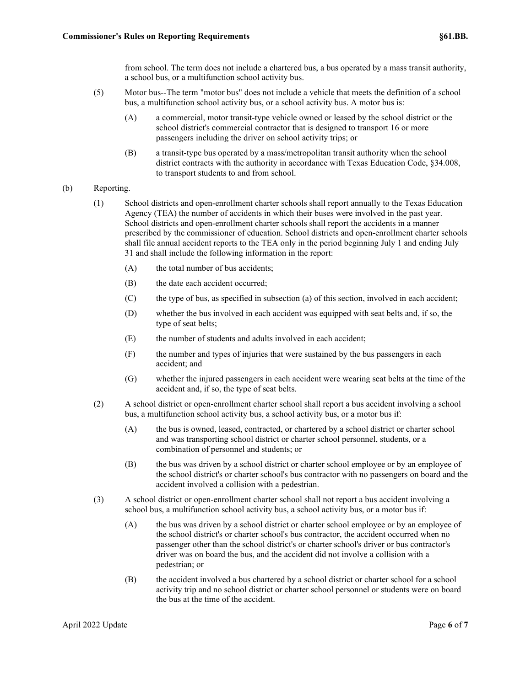from school. The term does not include a chartered bus, a bus operated by a mass transit authority, a school bus, or a multifunction school activity bus.

- (5) Motor bus--The term "motor bus" does not include a vehicle that meets the definition of a school bus, a multifunction school activity bus, or a school activity bus. A motor bus is:
	- (A) a commercial, motor transit-type vehicle owned or leased by the school district or the school district's commercial contractor that is designed to transport 16 or more passengers including the driver on school activity trips; or
	- (B) a transit-type bus operated by a mass/metropolitan transit authority when the school district contracts with the authority in accordance with Texas Education Code, §34.008, to transport students to and from school.

#### (b) Reporting.

- (1) School districts and open-enrollment charter schools shall report annually to the Texas Education Agency (TEA) the number of accidents in which their buses were involved in the past year. School districts and open-enrollment charter schools shall report the accidents in a manner prescribed by the commissioner of education. School districts and open-enrollment charter schools shall file annual accident reports to the TEA only in the period beginning July 1 and ending July 31 and shall include the following information in the report:
	- (A) the total number of bus accidents;
	- (B) the date each accident occurred;
	- (C) the type of bus, as specified in subsection (a) of this section, involved in each accident;
	- (D) whether the bus involved in each accident was equipped with seat belts and, if so, the type of seat belts;
	- (E) the number of students and adults involved in each accident;
	- (F) the number and types of injuries that were sustained by the bus passengers in each accident; and
	- (G) whether the injured passengers in each accident were wearing seat belts at the time of the accident and, if so, the type of seat belts.
- (2) A school district or open-enrollment charter school shall report a bus accident involving a school bus, a multifunction school activity bus, a school activity bus, or a motor bus if:
	- (A) the bus is owned, leased, contracted, or chartered by a school district or charter school and was transporting school district or charter school personnel, students, or a combination of personnel and students; or
	- (B) the bus was driven by a school district or charter school employee or by an employee of the school district's or charter school's bus contractor with no passengers on board and the accident involved a collision with a pedestrian.
- (3) A school district or open-enrollment charter school shall not report a bus accident involving a school bus, a multifunction school activity bus, a school activity bus, or a motor bus if:
	- (A) the bus was driven by a school district or charter school employee or by an employee of the school district's or charter school's bus contractor, the accident occurred when no passenger other than the school district's or charter school's driver or bus contractor's driver was on board the bus, and the accident did not involve a collision with a pedestrian; or
	- (B) the accident involved a bus chartered by a school district or charter school for a school activity trip and no school district or charter school personnel or students were on board the bus at the time of the accident.